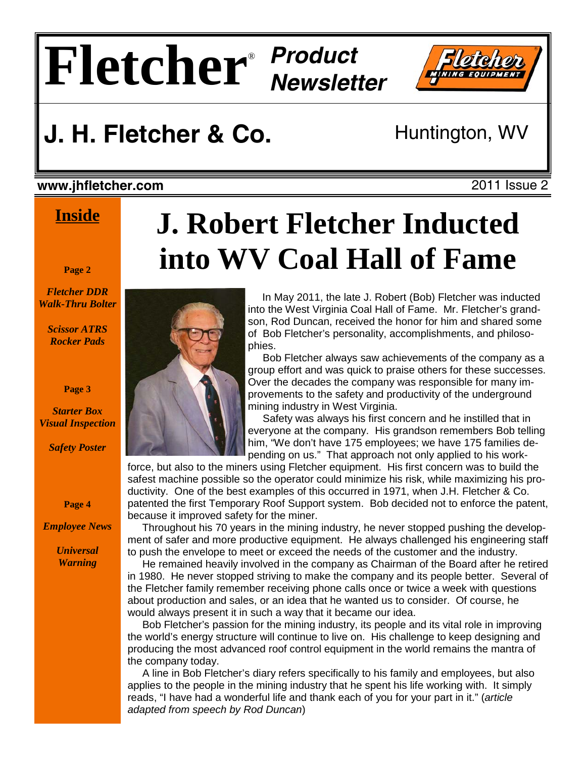# $\mathbf{Fleq}$



### **J. H. Fletcher & Co.** Huntington, WV

#### **www.jhfletcher.com** 2011 Issue 2

#### **Inside**

#### **Page 2**

*Fletcher DDR Walk-Thru Bolter*

> *Scissor ATRS Rocker Pads*

> > **Page 3**

*Starter Box Visual Inspection* 

*Safety Poster* 

**Page 4** 

*Employee News* 

*Universal Warning* 

## **J. Robert Fletcher Inducted into WV Coal Hall of Fame**

 In May 2011, the late J. Robert (Bob) Fletcher was inducted into the West Virginia Coal Hall of Fame. Mr. Fletcher's grandson, Rod Duncan, received the honor for him and shared some of Bob Fletcher's personality, accomplishments, and philosophies.

 Bob Fletcher always saw achievements of the company as a group effort and was quick to praise others for these successes. Over the decades the company was responsible for many improvements to the safety and productivity of the underground mining industry in West Virginia.

 Safety was always his first concern and he instilled that in everyone at the company. His grandson remembers Bob telling him, "We don't have 175 employees; we have 175 families depending on us." That approach not only applied to his work-

force, but also to the miners using Fletcher equipment. His first concern was to build the safest machine possible so the operator could minimize his risk, while maximizing his productivity. One of the best examples of this occurred in 1971, when J.H. Fletcher & Co. patented the first Temporary Roof Support system. Bob decided not to enforce the patent, because it improved safety for the miner.

 Throughout his 70 years in the mining industry, he never stopped pushing the development of safer and more productive equipment. He always challenged his engineering staff to push the envelope to meet or exceed the needs of the customer and the industry.

 He remained heavily involved in the company as Chairman of the Board after he retired in 1980. He never stopped striving to make the company and its people better. Several of the Fletcher family remember receiving phone calls once or twice a week with questions about production and sales, or an idea that he wanted us to consider. Of course, he would always present it in such a way that it became our idea.

 Bob Fletcher's passion for the mining industry, its people and its vital role in improving the world's energy structure will continue to live on. His challenge to keep designing and producing the most advanced roof control equipment in the world remains the mantra of the company today.

 A line in Bob Fletcher's diary refers specifically to his family and employees, but also applies to the people in the mining industry that he spent his life working with. It simply reads, "I have had a wonderful life and thank each of you for your part in it." (*article adapted from speech by Rod Duncan*)

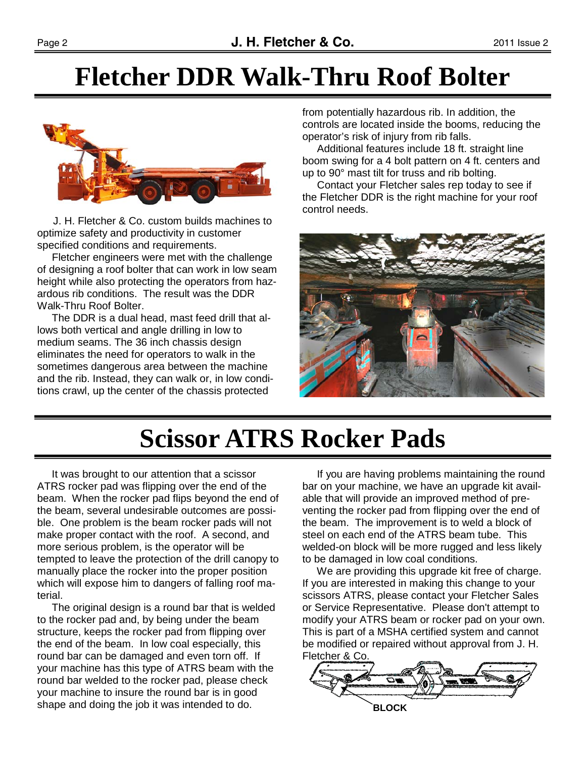#### **Fletcher DDR Walk-Thru Roof Bolter**



 J. H. Fletcher & Co. custom builds machines to optimize safety and productivity in customer specified conditions and requirements.

 Fletcher engineers were met with the challenge of designing a roof bolter that can work in low seam height while also protecting the operators from hazardous rib conditions. The result was the DDR Walk-Thru Roof Bolter.

 The DDR is a dual head, mast feed drill that allows both vertical and angle drilling in low to medium seams. The 36 inch chassis design eliminates the need for operators to walk in the sometimes dangerous area between the machine and the rib. Instead, they can walk or, in low conditions crawl, up the center of the chassis protected

from potentially hazardous rib. In addition, the controls are located inside the booms, reducing the operator's risk of injury from rib falls.

 Additional features include 18 ft. straight line boom swing for a 4 bolt pattern on 4 ft. centers and up to 90° mast tilt for truss and rib bolting.

 Contact your Fletcher sales rep today to see if the Fletcher DDR is the right machine for your roof control needs.



### **Scissor ATRS Rocker Pads**

 It was brought to our attention that a scissor ATRS rocker pad was flipping over the end of the beam. When the rocker pad flips beyond the end of the beam, several undesirable outcomes are possible. One problem is the beam rocker pads will not make proper contact with the roof. A second, and more serious problem, is the operator will be tempted to leave the protection of the drill canopy to manually place the rocker into the proper position which will expose him to dangers of falling roof material.

 The original design is a round bar that is welded to the rocker pad and, by being under the beam structure, keeps the rocker pad from flipping over the end of the beam. In low coal especially, this round bar can be damaged and even torn off. If your machine has this type of ATRS beam with the round bar welded to the rocker pad, please check your machine to insure the round bar is in good shape and doing the job it was intended to do.

 If you are having problems maintaining the round bar on your machine, we have an upgrade kit available that will provide an improved method of preventing the rocker pad from flipping over the end of the beam. The improvement is to weld a block of steel on each end of the ATRS beam tube. This welded-on block will be more rugged and less likely to be damaged in low coal conditions.

 We are providing this upgrade kit free of charge. If you are interested in making this change to your scissors ATRS, please contact your Fletcher Sales or Service Representative. Please don't attempt to modify your ATRS beam or rocker pad on your own. This is part of a MSHA certified system and cannot be modified or repaired without approval from J. H. Fletcher & Co.

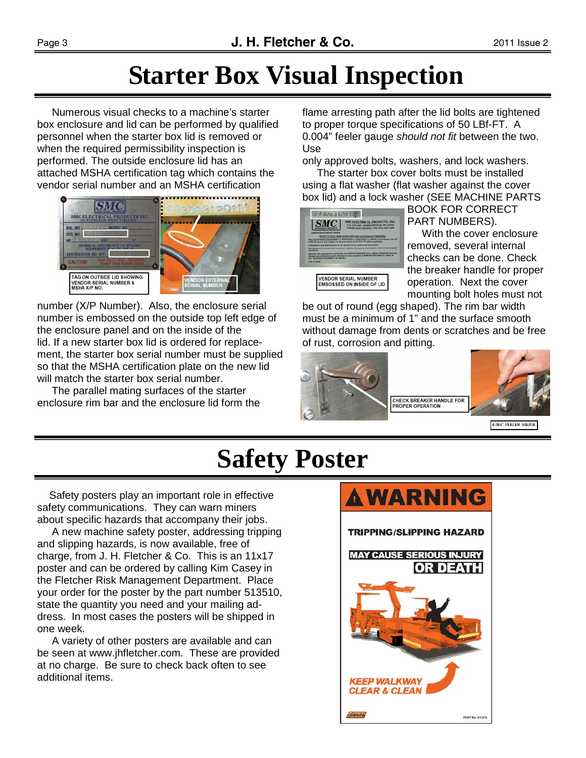### **Starter Box Visual Inspection**

 Numerous visual checks to a machine's starter box enclosure and lid can be performed by qualified personnel when the starter box lid is removed or when the required permissibility inspection is performed. The outside enclosure lid has an attached MSHA certification tag which contains the vendor serial number and an MSHA certification



number (X/P Number). Also, the enclosure serial number is embossed on the outside top left edge of the enclosure panel and on the inside of the lid. If a new starter box lid is ordered for replacement, the starter box serial number must be supplied so that the MSHA certification plate on the new lid will match the starter box serial number.

 The parallel mating surfaces of the starter enclosure rim bar and the enclosure lid form the flame arresting path after the lid bolts are tightened to proper torque specifications of 50 LBf-FT. A 0.004" feeler gauge *should not fit* between the two. Use

only approved bolts, washers, and lock washers.

 The starter box cover bolts must be installed using a flat washer (flat washer against the cover box lid) and a lock washer (SEE MACHINE PARTS

| <b>MARKETWICH PRODUCT DOMEST</b>                                                                      | SMC ELECTRICAL PRODUCTS, INC.<br>P.O. BOYCANY, INANIATEDISTICAL WV SEPECT<br><b>FERDON CROAS TO GARDEN RING, CARAL CARA LARGE</b>                                                                   |
|-------------------------------------------------------------------------------------------------------|-----------------------------------------------------------------------------------------------------------------------------------------------------------------------------------------------------|
|                                                                                                       | <b>ATTER TO CRAL MINE CPERATORS AND MANTENADECE PRINT</b><br>ELECTRICAL COUNTMENT In APPROXISTA 41 COUNTER by MORE IN A<br>THE west of also subject to the previousne of the CFR 75 where approarme |
| <b>Advises and Magnesian and a</b><br>pigmant to be forestantly assessed. Insect and property cluster | <b><i>CALIFORNIA BALLAND AND ARRESTS</i></b>                                                                                                                                                        |
| <b>VALITION STATES</b>                                                                                |                                                                                                                                                                                                     |
| <b>N 201 A 2015 E</b>                                                                                 |                                                                                                                                                                                                     |
|                                                                                                       | VENDOR SERIAL NUMBER                                                                                                                                                                                |
|                                                                                                       | EMBOSSED ON INSIDE OF LID                                                                                                                                                                           |

BOOK FOR CORRECT PART NUMBERS).

 With the cover enclosure removed, several internal checks can be done. Check the breaker handle for proper operation. Next the cover mounting bolt holes must not

be out of round (egg shaped). The rim bar width must be a minimum of 1" and the surface smooth without damage from dents or scratches and be free of rust, corrosion and pitting.



0.004" FEELER GAUGE

### **Safety Poster**

 Safety posters play an important role in effective safety communications. They can warn miners about specific hazards that accompany their jobs.

 A new machine safety poster, addressing tripping and slipping hazards, is now available, free of charge, from J. H. Fletcher & Co. This is an 11x17 poster and can be ordered by calling Kim Casey in the Fletcher Risk Management Department. Place your order for the poster by the part number 513510, state the quantity you need and your mailing address. In most cases the posters will be shipped in one week.

 A variety of other posters are available and can be seen at www.jhfletcher.com. These are provided at no charge. Be sure to check back often to see additional items.